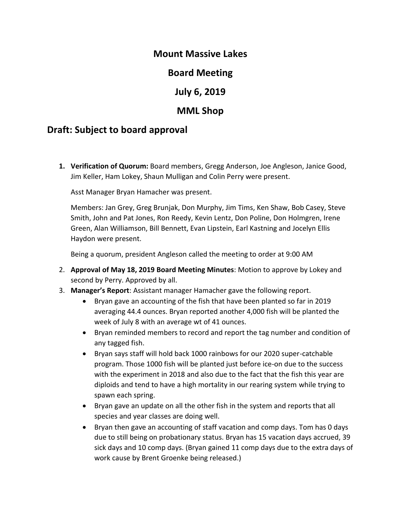### **Mount Massive Lakes**

## **Board Meeting**

## **July 6, 2019**

# **MML Shop**

## **Draft: Subject to board approval**

**1. Verification of Quorum:** Board members, Gregg Anderson, Joe Angleson, Janice Good, Jim Keller, Ham Lokey, Shaun Mulligan and Colin Perry were present.

Asst Manager Bryan Hamacher was present.

Members: Jan Grey, Greg Brunjak, Don Murphy, Jim Tims, Ken Shaw, Bob Casey, Steve Smith, John and Pat Jones, Ron Reedy, Kevin Lentz, Don Poline, Don Holmgren, Irene Green, Alan Williamson, Bill Bennett, Evan Lipstein, Earl Kastning and Jocelyn Ellis Haydon were present.

Being a quorum, president Angleson called the meeting to order at 9:00 AM

- 2. **Approval of May 18, 2019 Board Meeting Minutes**: Motion to approve by Lokey and second by Perry. Approved by all.
- 3. **Manager's Report**: Assistant manager Hamacher gave the following report.
	- Bryan gave an accounting of the fish that have been planted so far in 2019 averaging 44.4 ounces. Bryan reported another 4,000 fish will be planted the week of July 8 with an average wt of 41 ounces.
	- Bryan reminded members to record and report the tag number and condition of any tagged fish.
	- Bryan says staff will hold back 1000 rainbows for our 2020 super-catchable program. Those 1000 fish will be planted just before ice-on due to the success with the experiment in 2018 and also due to the fact that the fish this year are diploids and tend to have a high mortality in our rearing system while trying to spawn each spring.
	- Bryan gave an update on all the other fish in the system and reports that all species and year classes are doing well.
	- Bryan then gave an accounting of staff vacation and comp days. Tom has 0 days due to still being on probationary status. Bryan has 15 vacation days accrued, 39 sick days and 10 comp days. (Bryan gained 11 comp days due to the extra days of work cause by Brent Groenke being released.)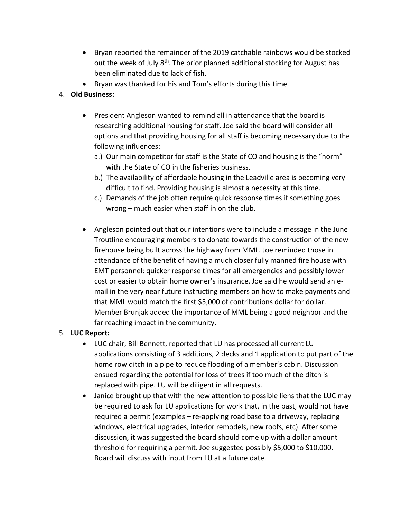- Bryan reported the remainder of the 2019 catchable rainbows would be stocked out the week of July  $8<sup>th</sup>$ . The prior planned additional stocking for August has been eliminated due to lack of fish.
- Bryan was thanked for his and Tom's efforts during this time.

#### 4. **Old Business:**

- President Angleson wanted to remind all in attendance that the board is researching additional housing for staff. Joe said the board will consider all options and that providing housing for all staff is becoming necessary due to the following influences:
	- a.) Our main competitor for staff is the State of CO and housing is the "norm" with the State of CO in the fisheries business.
	- b.) The availability of affordable housing in the Leadville area is becoming very difficult to find. Providing housing is almost a necessity at this time.
	- c.) Demands of the job often require quick response times if something goes wrong – much easier when staff in on the club.
- Angleson pointed out that our intentions were to include a message in the June Troutline encouraging members to donate towards the construction of the new firehouse being built across the highway from MML. Joe reminded those in attendance of the benefit of having a much closer fully manned fire house with EMT personnel: quicker response times for all emergencies and possibly lower cost or easier to obtain home owner's insurance. Joe said he would send an email in the very near future instructing members on how to make payments and that MML would match the first \$5,000 of contributions dollar for dollar. Member Brunjak added the importance of MML being a good neighbor and the far reaching impact in the community.

#### 5. **LUC Report:**

- LUC chair, Bill Bennett, reported that LU has processed all current LU applications consisting of 3 additions, 2 decks and 1 application to put part of the home row ditch in a pipe to reduce flooding of a member's cabin. Discussion ensued regarding the potential for loss of trees if too much of the ditch is replaced with pipe. LU will be diligent in all requests.
- Janice brought up that with the new attention to possible liens that the LUC may be required to ask for LU applications for work that, in the past, would not have required a permit (examples – re-applying road base to a driveway, replacing windows, electrical upgrades, interior remodels, new roofs, etc). After some discussion, it was suggested the board should come up with a dollar amount threshold for requiring a permit. Joe suggested possibly \$5,000 to \$10,000. Board will discuss with input from LU at a future date.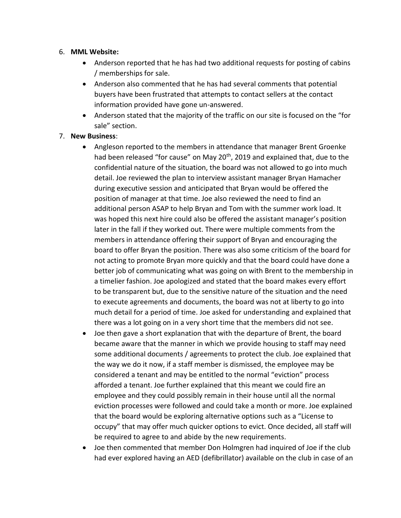#### 6. **MML Website:**

- Anderson reported that he has had two additional requests for posting of cabins / memberships for sale.
- Anderson also commented that he has had several comments that potential buyers have been frustrated that attempts to contact sellers at the contact information provided have gone un-answered.
- Anderson stated that the majority of the traffic on our site is focused on the "for sale" section.

#### 7. **New Business**:

- Angleson reported to the members in attendance that manager Brent Groenke had been released "for cause" on May 20<sup>th</sup>, 2019 and explained that, due to the confidential nature of the situation, the board was not allowed to go into much detail. Joe reviewed the plan to interview assistant manager Bryan Hamacher during executive session and anticipated that Bryan would be offered the position of manager at that time. Joe also reviewed the need to find an additional person ASAP to help Bryan and Tom with the summer work load. It was hoped this next hire could also be offered the assistant manager's position later in the fall if they worked out. There were multiple comments from the members in attendance offering their support of Bryan and encouraging the board to offer Bryan the position. There was also some criticism of the board for not acting to promote Bryan more quickly and that the board could have done a better job of communicating what was going on with Brent to the membership in a timelier fashion. Joe apologized and stated that the board makes every effort to be transparent but, due to the sensitive nature of the situation and the need to execute agreements and documents, the board was not at liberty to go into much detail for a period of time. Joe asked for understanding and explained that there was a lot going on in a very short time that the members did not see.
- Joe then gave a short explanation that with the departure of Brent, the board became aware that the manner in which we provide housing to staff may need some additional documents / agreements to protect the club. Joe explained that the way we do it now, if a staff member is dismissed, the employee may be considered a tenant and may be entitled to the normal "eviction" process afforded a tenant. Joe further explained that this meant we could fire an employee and they could possibly remain in their house until all the normal eviction processes were followed and could take a month or more. Joe explained that the board would be exploring alternative options such as a "License to occupy" that may offer much quicker options to evict. Once decided, all staff will be required to agree to and abide by the new requirements.
- Joe then commented that member Don Holmgren had inquired of Joe if the club had ever explored having an AED (defibrillator) available on the club in case of an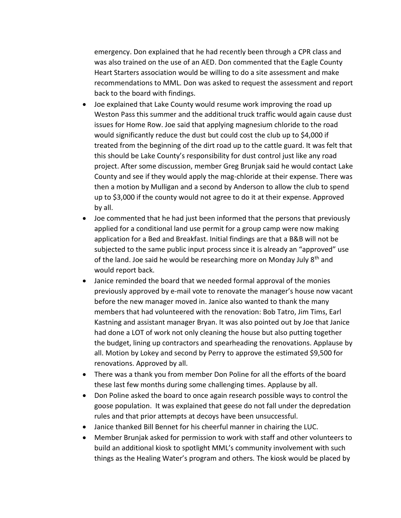emergency. Don explained that he had recently been through a CPR class and was also trained on the use of an AED. Don commented that the Eagle County Heart Starters association would be willing to do a site assessment and make recommendations to MML. Don was asked to request the assessment and report back to the board with findings.

- Joe explained that Lake County would resume work improving the road up Weston Pass this summer and the additional truck traffic would again cause dust issues for Home Row. Joe said that applying magnesium chloride to the road would significantly reduce the dust but could cost the club up to \$4,000 if treated from the beginning of the dirt road up to the cattle guard. It was felt that this should be Lake County's responsibility for dust control just like any road project. After some discussion, member Greg Brunjak said he would contact Lake County and see if they would apply the mag-chloride at their expense. There was then a motion by Mulligan and a second by Anderson to allow the club to spend up to \$3,000 if the county would not agree to do it at their expense. Approved by all.
- Joe commented that he had just been informed that the persons that previously applied for a conditional land use permit for a group camp were now making application for a Bed and Breakfast. Initial findings are that a B&B will not be subjected to the same public input process since it is already an "approved" use of the land. Joe said he would be researching more on Monday July 8<sup>th</sup> and would report back.
- Janice reminded the board that we needed formal approval of the monies previously approved by e-mail vote to renovate the manager's house now vacant before the new manager moved in. Janice also wanted to thank the many members that had volunteered with the renovation: Bob Tatro, Jim Tims, Earl Kastning and assistant manager Bryan. It was also pointed out by Joe that Janice had done a LOT of work not only cleaning the house but also putting together the budget, lining up contractors and spearheading the renovations. Applause by all. Motion by Lokey and second by Perry to approve the estimated \$9,500 for renovations. Approved by all.
- There was a thank you from member Don Poline for all the efforts of the board these last few months during some challenging times. Applause by all.
- Don Poline asked the board to once again research possible ways to control the goose population. It was explained that geese do not fall under the depredation rules and that prior attempts at decoys have been unsuccessful.
- Janice thanked Bill Bennet for his cheerful manner in chairing the LUC.
- Member Brunjak asked for permission to work with staff and other volunteers to build an additional kiosk to spotlight MML's community involvement with such things as the Healing Water's program and others. The kiosk would be placed by